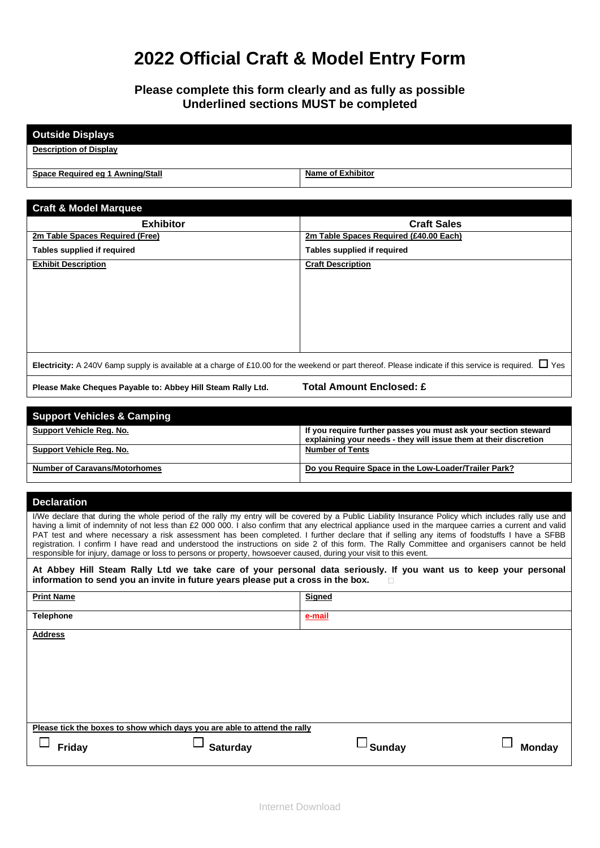# **2022 Official Craft & Model Entry Form**

### **Please complete this form clearly and as fully as possible Underlined sections MUST be completed**

| <b>Outside Displays</b>                                                                                                                                                                                                                                                                                                                                                                                                                                                                                                                                                                                     |                                                                                                                                     |  |
|-------------------------------------------------------------------------------------------------------------------------------------------------------------------------------------------------------------------------------------------------------------------------------------------------------------------------------------------------------------------------------------------------------------------------------------------------------------------------------------------------------------------------------------------------------------------------------------------------------------|-------------------------------------------------------------------------------------------------------------------------------------|--|
| <b>Description of Display</b>                                                                                                                                                                                                                                                                                                                                                                                                                                                                                                                                                                               |                                                                                                                                     |  |
| Space Required eg 1 Awning/Stall                                                                                                                                                                                                                                                                                                                                                                                                                                                                                                                                                                            | <b>Name of Exhibitor</b>                                                                                                            |  |
|                                                                                                                                                                                                                                                                                                                                                                                                                                                                                                                                                                                                             |                                                                                                                                     |  |
| <b>Craft &amp; Model Marquee</b>                                                                                                                                                                                                                                                                                                                                                                                                                                                                                                                                                                            |                                                                                                                                     |  |
| <b>Exhibitor</b>                                                                                                                                                                                                                                                                                                                                                                                                                                                                                                                                                                                            | <b>Craft Sales</b>                                                                                                                  |  |
| 2m Table Spaces Required (Free)                                                                                                                                                                                                                                                                                                                                                                                                                                                                                                                                                                             | 2m Table Spaces Required (£40.00 Each)                                                                                              |  |
| Tables supplied if required                                                                                                                                                                                                                                                                                                                                                                                                                                                                                                                                                                                 | Tables supplied if required                                                                                                         |  |
| <b>Exhibit Description</b>                                                                                                                                                                                                                                                                                                                                                                                                                                                                                                                                                                                  | <b>Craft Description</b>                                                                                                            |  |
|                                                                                                                                                                                                                                                                                                                                                                                                                                                                                                                                                                                                             |                                                                                                                                     |  |
|                                                                                                                                                                                                                                                                                                                                                                                                                                                                                                                                                                                                             |                                                                                                                                     |  |
|                                                                                                                                                                                                                                                                                                                                                                                                                                                                                                                                                                                                             |                                                                                                                                     |  |
|                                                                                                                                                                                                                                                                                                                                                                                                                                                                                                                                                                                                             |                                                                                                                                     |  |
|                                                                                                                                                                                                                                                                                                                                                                                                                                                                                                                                                                                                             |                                                                                                                                     |  |
|                                                                                                                                                                                                                                                                                                                                                                                                                                                                                                                                                                                                             |                                                                                                                                     |  |
| Electricity: A 240V 6amp supply is available at a charge of £10.00 for the weekend or part thereof. Please indicate if this service is required. $\Box$ Yes                                                                                                                                                                                                                                                                                                                                                                                                                                                 |                                                                                                                                     |  |
| Please Make Cheques Payable to: Abbey Hill Steam Rally Ltd.                                                                                                                                                                                                                                                                                                                                                                                                                                                                                                                                                 | <b>Total Amount Enclosed: £</b>                                                                                                     |  |
|                                                                                                                                                                                                                                                                                                                                                                                                                                                                                                                                                                                                             |                                                                                                                                     |  |
| <b>Support Vehicles &amp; Camping</b>                                                                                                                                                                                                                                                                                                                                                                                                                                                                                                                                                                       |                                                                                                                                     |  |
| <b>Support Vehicle Reg. No.</b>                                                                                                                                                                                                                                                                                                                                                                                                                                                                                                                                                                             | If you require further passes you must ask your section steward<br>explaining your needs - they will issue them at their discretion |  |
| <b>Support Vehicle Reg. No.</b>                                                                                                                                                                                                                                                                                                                                                                                                                                                                                                                                                                             | <b>Number of Tents</b>                                                                                                              |  |
| <b>Number of Caravans/Motorhomes</b>                                                                                                                                                                                                                                                                                                                                                                                                                                                                                                                                                                        | Do you Require Space in the Low-Loader/Trailer Park?                                                                                |  |
|                                                                                                                                                                                                                                                                                                                                                                                                                                                                                                                                                                                                             |                                                                                                                                     |  |
| <b>Declaration</b>                                                                                                                                                                                                                                                                                                                                                                                                                                                                                                                                                                                          |                                                                                                                                     |  |
| I/We declare that during the whole period of the rally my entry will be covered by a Public Liability Insurance Policy which includes rally use and<br>having a limit of indemnity of not less than £2 000 000. I also confirm that any electrical appliance used in the marquee carries a current and valid<br>PAT test and where necessary a risk assessment has been completed. I further declare that if selling any items of foodstuffs I have a SFBB<br>registration. I confirm I have read and understood the instructions on side 2 of this form. The Rally Committee and organisers cannot be held |                                                                                                                                     |  |
| responsible for injury, damage or loss to persons or property, howsoever caused, during your visit to this event.                                                                                                                                                                                                                                                                                                                                                                                                                                                                                           |                                                                                                                                     |  |
| At Abbey Hill Steam Rally Ltd we take care of your personal data seriously. If you want us to keep your personal<br>information to send you an invite in future years please put a cross in the box.                                                                                                                                                                                                                                                                                                                                                                                                        |                                                                                                                                     |  |
| <b>Print Name</b>                                                                                                                                                                                                                                                                                                                                                                                                                                                                                                                                                                                           | <b>Signed</b>                                                                                                                       |  |
| <b>Telephone</b>                                                                                                                                                                                                                                                                                                                                                                                                                                                                                                                                                                                            | e-mail                                                                                                                              |  |
| <b>Address</b>                                                                                                                                                                                                                                                                                                                                                                                                                                                                                                                                                                                              |                                                                                                                                     |  |
|                                                                                                                                                                                                                                                                                                                                                                                                                                                                                                                                                                                                             |                                                                                                                                     |  |
|                                                                                                                                                                                                                                                                                                                                                                                                                                                                                                                                                                                                             |                                                                                                                                     |  |
|                                                                                                                                                                                                                                                                                                                                                                                                                                                                                                                                                                                                             |                                                                                                                                     |  |
|                                                                                                                                                                                                                                                                                                                                                                                                                                                                                                                                                                                                             |                                                                                                                                     |  |
|                                                                                                                                                                                                                                                                                                                                                                                                                                                                                                                                                                                                             |                                                                                                                                     |  |
| Please tick the boxes to show which days you are able to attend the rally                                                                                                                                                                                                                                                                                                                                                                                                                                                                                                                                   |                                                                                                                                     |  |
| <sup>_ </sup> Sunday                                                                                                                                                                                                                                                                                                                                                                                                                                                                                                                                                                                        |                                                                                                                                     |  |
| <b>Saturday</b><br>Friday                                                                                                                                                                                                                                                                                                                                                                                                                                                                                                                                                                                   | <b>Monday</b>                                                                                                                       |  |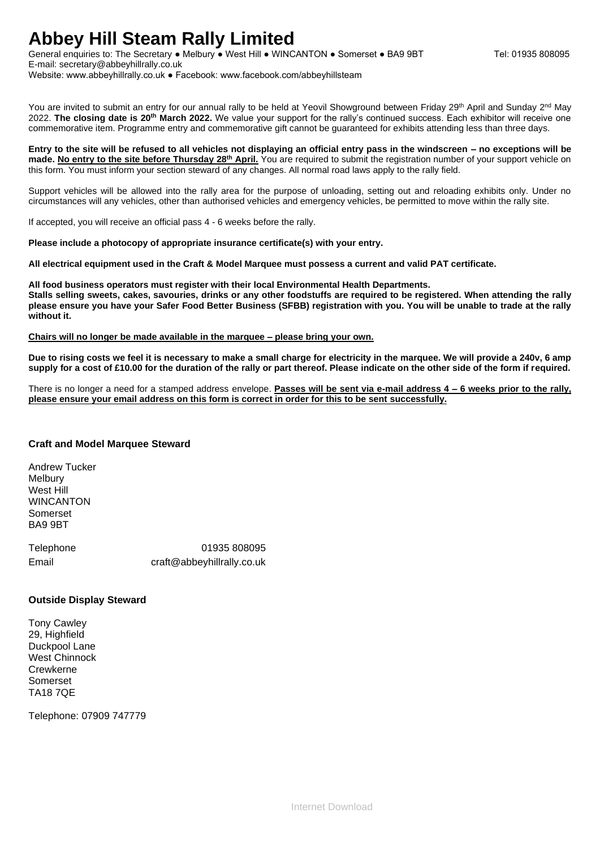### **Abbey Hill Steam Rally Limited**

General enquiries to: The Secretary • Melbury • West Hill • WINCANTON • Somerset • BA9 9BT Tel: 01935 808095 E-mail: secretary@abbeyhillrally.co.uk Website: www.abbeyhillrally.co.uk ● Facebook: www.facebook.com/abbeyhillsteam

You are invited to submit an entry for our annual rally to be held at Yeovil Showground between Friday 29<sup>th</sup> April and Sunday 2<sup>nd</sup> May 2022. **The closing date is 20th March 2022.** We value your support for the rally's continued success. Each exhibitor will receive one commemorative item. Programme entry and commemorative gift cannot be guaranteed for exhibits attending less than three days.

**Entry to the site will be refused to all vehicles not displaying an official entry pass in the windscreen – no exceptions will be made. <u>No entry to the site before Thursday 28<sup>th</sup> April.</u> You are required to submit the registration number of your support vehicle on** this form. You must inform your section steward of any changes. All normal road laws apply to the rally field.

Support vehicles will be allowed into the rally area for the purpose of unloading, setting out and reloading exhibits only. Under no circumstances will any vehicles, other than authorised vehicles and emergency vehicles, be permitted to move within the rally site.

If accepted, you will receive an official pass 4 - 6 weeks before the rally.

**Please include a photocopy of appropriate insurance certificate(s) with your entry.**

**All electrical equipment used in the Craft & Model Marquee must possess a current and valid PAT certificate.**

**All food business operators must register with their local Environmental Health Departments. Stalls selling sweets, cakes, savouries, drinks or any other foodstuffs are required to be registered. When attending the rally please ensure you have your Safer Food Better Business (SFBB) registration with you. You will be unable to trade at the rally without it.**

**Chairs will no longer be made available in the marquee – please bring your own.**

**Due to rising costs we feel it is necessary to make a small charge for electricity in the marquee. We will provide a 240v, 6 amp supply for a cost of £10.00 for the duration of the rally or part thereof. Please indicate on the other side of the form if required.**

There is no longer a need for a stamped address envelope. **Passes will be sent via e-mail address 4 – 6 weeks prior to the rally, please ensure your email address on this form is correct in order for this to be sent successfully.**

#### **Craft and Model Marquee Steward**

Andrew Tucker Melbury West Hill **WINCANTON** Somerset BA9 9BT

Telephone 01935 808095 Email craft@abbeyhillrally.co.uk

### **Outside Display Steward**

Tony Cawley 29, Highfield Duckpool Lane West Chinnock **Crewkerne** Somerset TA18 7QE

Telephone: 07909 747779